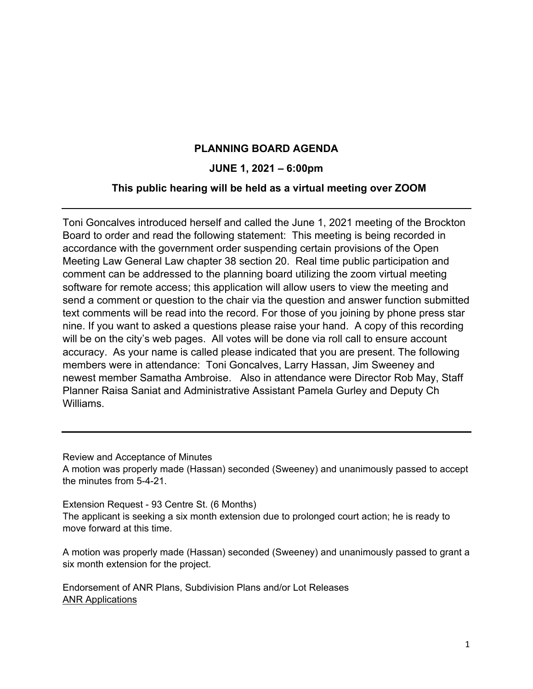## **PLANNING BOARD AGENDA**

## **JUNE 1, 2021 – 6:00pm**

## **This public hearing will be held as a virtual meeting over ZOOM**

Toni Goncalves introduced herself and called the June 1, 2021 meeting of the Brockton Board to order and read the following statement: This meeting is being recorded in accordance with the government order suspending certain provisions of the Open Meeting Law General Law chapter 38 section 20. Real time public participation and comment can be addressed to the planning board utilizing the zoom virtual meeting software for remote access; this application will allow users to view the meeting and send a comment or question to the chair via the question and answer function submitted text comments will be read into the record. For those of you joining by phone press star nine. If you want to asked a questions please raise your hand. A copy of this recording will be on the city's web pages. All votes will be done via roll call to ensure account accuracy. As your name is called please indicated that you are present. The following members were in attendance: Toni Goncalves, Larry Hassan, Jim Sweeney and newest member Samatha Ambroise. Also in attendance were Director Rob May, Staff Planner Raisa Saniat and Administrative Assistant Pamela Gurley and Deputy Ch Williams.

Review and Acceptance of Minutes

A motion was properly made (Hassan) seconded (Sweeney) and unanimously passed to accept the minutes from 5-4-21.

Extension Request - 93 Centre St. (6 Months)

The applicant is seeking a six month extension due to prolonged court action; he is ready to move forward at this time.

A motion was properly made (Hassan) seconded (Sweeney) and unanimously passed to grant a six month extension for the project.

 Endorsement of ANR Plans, Subdivision Plans and/or Lot Releases ANR Applications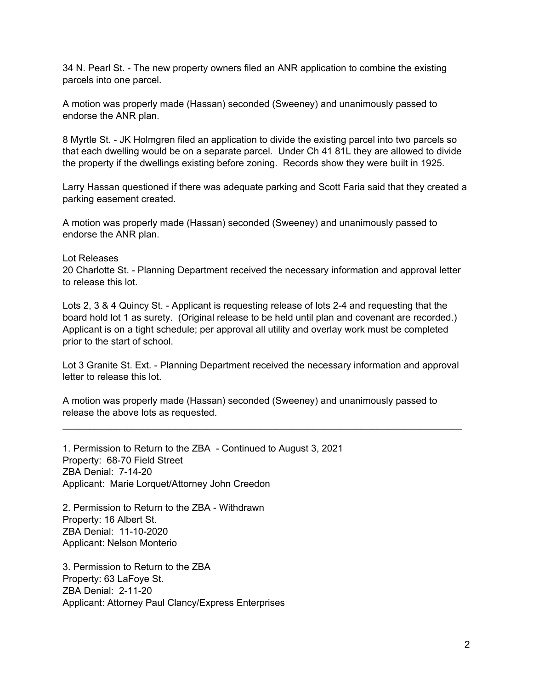34 N. Pearl St. - The new property owners filed an ANR application to combine the existing parcels into one parcel.

A motion was properly made (Hassan) seconded (Sweeney) and unanimously passed to endorse the ANR plan.

8 Myrtle St. - JK Holmgren filed an application to divide the existing parcel into two parcels so that each dwelling would be on a separate parcel. Under Ch 41 81L they are allowed to divide the property if the dwellings existing before zoning. Records show they were built in 1925.

Larry Hassan questioned if there was adequate parking and Scott Faria said that they created a parking easement created.

A motion was properly made (Hassan) seconded (Sweeney) and unanimously passed to endorse the ANR plan.

## Lot Releases

20 Charlotte St. - Planning Department received the necessary information and approval letter to release this lot.

Lots 2, 3 & 4 Quincy St. - Applicant is requesting release of lots 2-4 and requesting that the board hold lot 1 as surety. (Original release to be held until plan and covenant are recorded.) Applicant is on a tight schedule; per approval all utility and overlay work must be completed prior to the start of school.

Lot 3 Granite St. Ext. - Planning Department received the necessary information and approval letter to release this lot.

 $\_$  , and the contribution of the contribution of the contribution of the contribution of  $\mathcal{L}_\mathbf{C}$ 

A motion was properly made (Hassan) seconded (Sweeney) and unanimously passed to release the above lots as requested.

1. Permission to Return to the ZBA - Continued to August 3, 2021 Property: 68-70 Field Street ZBA Denial: 7-14-20 Applicant: Marie Lorquet/Attorney John Creedon

2. Permission to Return to the ZBA - Withdrawn Property: 16 Albert St. ZBA Denial: 11-10-2020 Applicant: Nelson Monterio

3. Permission to Return to the ZBA Property: 63 LaFoye St. ZBA Denial: 2-11-20 Applicant: Attorney Paul Clancy/Express Enterprises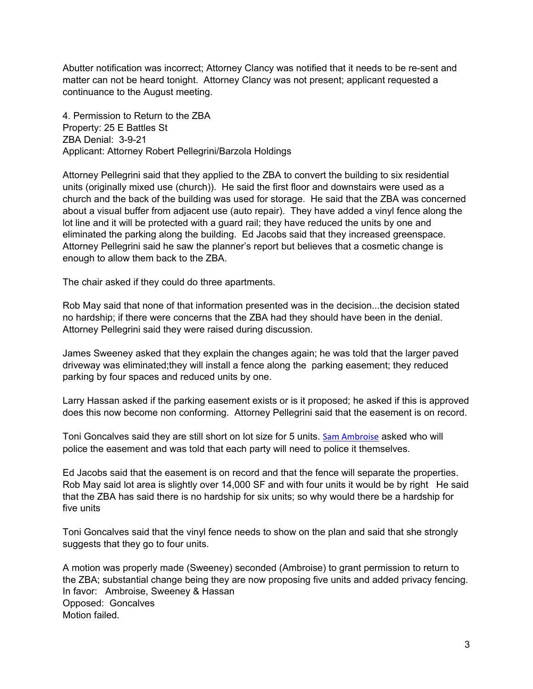Abutter notification was incorrect; Attorney Clancy was notified that it needs to be re-sent and matter can not be heard tonight. Attorney Clancy was not present; applicant requested a continuance to the August meeting.

4. Permission to Return to the ZBA Property: 25 E Battles St ZBA Denial: 3-9-21 Applicant: Attorney Robert Pellegrini/Barzola Holdings

Attorney Pellegrini said that they applied to the ZBA to convert the building to six residential units (originally mixed use (church)). He said the first floor and downstairs were used as a church and the back of the building was used for storage. He said that the ZBA was concerned about a visual buffer from adjacent use (auto repair). They have added a vinyl fence along the lot line and it will be protected with a guard rail; they have reduced the units by one and eliminated the parking along the building. Ed Jacobs said that they increased greenspace. Attorney Pellegrini said he saw the planner's report but believes that a cosmetic change is enough to allow them back to the ZBA.

The chair asked if they could do three apartments.

Rob May said that none of that information presented was in the decision...the decision stated no hardship; if there were concerns that the ZBA had they should have been in the denial. Attorney Pellegrini said they were raised during discussion.

James Sweeney asked that they explain the changes again; he was told that the larger paved driveway was eliminated;they will install a fence along the parking easement; they reduced parking by four spaces and reduced units by one.

Larry Hassan asked if the parking easement exists or is it proposed; he asked if this is approved does this now become non conforming. Attorney Pellegrini said that the easement is on record.

Toni Goncalves said they are still short on lot size for 5 units. Sam Ambroise asked who will police the easement and was told that each party will need to police it themselves.

Ed Jacobs said that the easement is on record and that the fence will separate the properties. Rob May said lot area is slightly over 14,000 SF and with four units it would be by right He said that the ZBA has said there is no hardship for six units; so why would there be a hardship for five units

Toni Goncalves said that the vinyl fence needs to show on the plan and said that she strongly suggests that they go to four units.

A motion was properly made (Sweeney) seconded (Ambroise) to grant permission to return to the ZBA; substantial change being they are now proposing five units and added privacy fencing. In favor: Ambroise, Sweeney & Hassan Opposed: Goncalves Motion failed.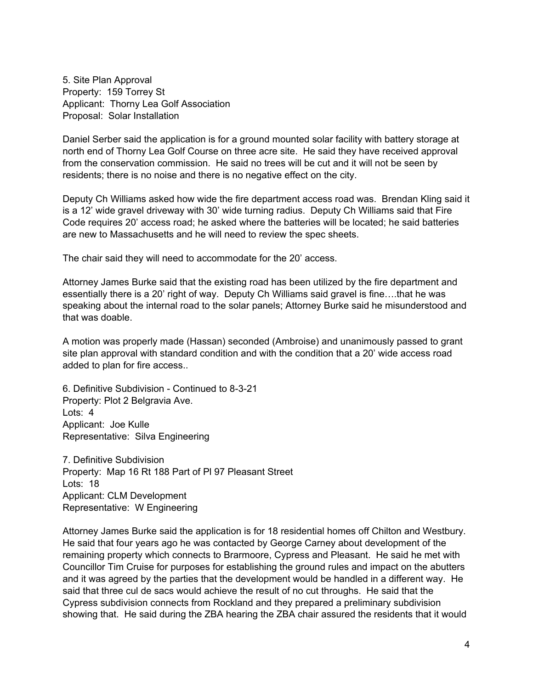5. Site Plan Approval Property: 159 Torrey St Applicant: Thorny Lea Golf Association Proposal: Solar Installation

Daniel Serber said the application is for a ground mounted solar facility with battery storage at north end of Thorny Lea Golf Course on three acre site. He said they have received approval from the conservation commission. He said no trees will be cut and it will not be seen by residents; there is no noise and there is no negative effect on the city.

Deputy Ch Williams asked how wide the fire department access road was. Brendan Kling said it is a 12' wide gravel driveway with 30' wide turning radius. Deputy Ch Williams said that Fire Code requires 20' access road; he asked where the batteries will be located; he said batteries are new to Massachusetts and he will need to review the spec sheets.

The chair said they will need to accommodate for the 20' access.

Attorney James Burke said that the existing road has been utilized by the fire department and essentially there is a 20' right of way. Deputy Ch Williams said gravel is fine….that he was speaking about the internal road to the solar panels; Attorney Burke said he misunderstood and that was doable.

A motion was properly made (Hassan) seconded (Ambroise) and unanimously passed to grant site plan approval with standard condition and with the condition that a 20' wide access road added to plan for fire access..

6. Definitive Subdivision - Continued to 8-3-21 Property: Plot 2 Belgravia Ave. Lots: 4 Applicant: Joe Kulle Representative: Silva Engineering

7. Definitive Subdivision Property: Map 16 Rt 188 Part of Pl 97 Pleasant Street Lots: 18 Applicant: CLM Development Representative: W Engineering

Attorney James Burke said the application is for 18 residential homes off Chilton and Westbury. He said that four years ago he was contacted by George Carney about development of the remaining property which connects to Brarmoore, Cypress and Pleasant. He said he met with Councillor Tim Cruise for purposes for establishing the ground rules and impact on the abutters and it was agreed by the parties that the development would be handled in a different way. He said that three cul de sacs would achieve the result of no cut throughs. He said that the Cypress subdivision connects from Rockland and they prepared a preliminary subdivision showing that. He said during the ZBA hearing the ZBA chair assured the residents that it would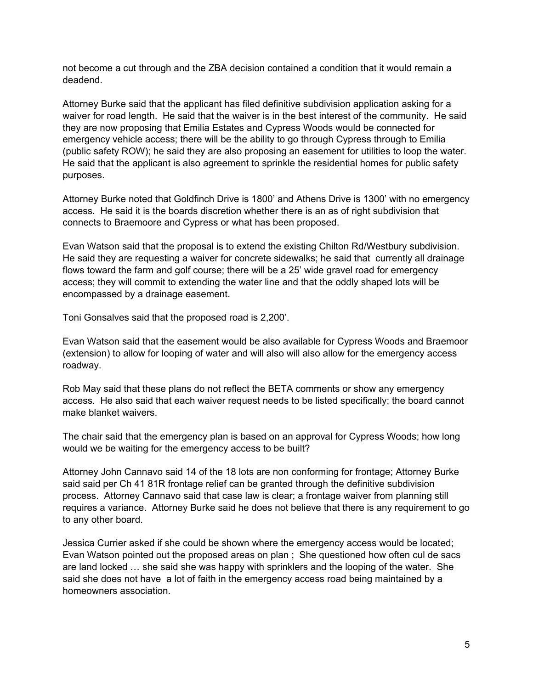not become a cut through and the ZBA decision contained a condition that it would remain a deadend.

Attorney Burke said that the applicant has filed definitive subdivision application asking for a waiver for road length. He said that the waiver is in the best interest of the community. He said they are now proposing that Emilia Estates and Cypress Woods would be connected for emergency vehicle access; there will be the ability to go through Cypress through to Emilia (public safety ROW); he said they are also proposing an easement for utilities to loop the water. He said that the applicant is also agreement to sprinkle the residential homes for public safety purposes.

Attorney Burke noted that Goldfinch Drive is 1800' and Athens Drive is 1300' with no emergency access. He said it is the boards discretion whether there is an as of right subdivision that connects to Braemoore and Cypress or what has been proposed.

Evan Watson said that the proposal is to extend the existing Chilton Rd/Westbury subdivision. He said they are requesting a waiver for concrete sidewalks; he said that currently all drainage flows toward the farm and golf course; there will be a 25' wide gravel road for emergency access; they will commit to extending the water line and that the oddly shaped lots will be encompassed by a drainage easement.

Toni Gonsalves said that the proposed road is 2,200'.

Evan Watson said that the easement would be also available for Cypress Woods and Braemoor (extension) to allow for looping of water and will also will also allow for the emergency access roadway.

Rob May said that these plans do not reflect the BETA comments or show any emergency access. He also said that each waiver request needs to be listed specifically; the board cannot make blanket waivers.

The chair said that the emergency plan is based on an approval for Cypress Woods; how long would we be waiting for the emergency access to be built?

Attorney John Cannavo said 14 of the 18 lots are non conforming for frontage; Attorney Burke said said per Ch 41 81R frontage relief can be granted through the definitive subdivision process. Attorney Cannavo said that case law is clear; a frontage waiver from planning still requires a variance. Attorney Burke said he does not believe that there is any requirement to go to any other board.

Jessica Currier asked if she could be shown where the emergency access would be located; Evan Watson pointed out the proposed areas on plan ; She questioned how often cul de sacs are land locked … she said she was happy with sprinklers and the looping of the water. She said she does not have a lot of faith in the emergency access road being maintained by a homeowners association.